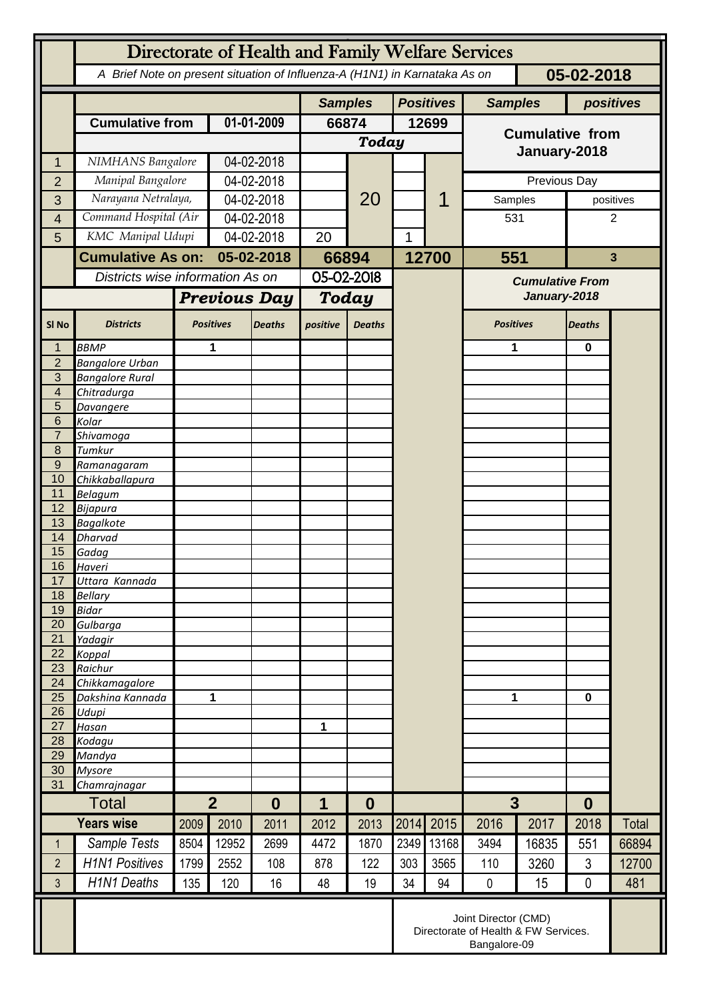|                          | Directorate of Health and Family Welfare Services |                                                                                          |                     |                |                       |                  |       |                        |                                                                              |           |                  |           |  |
|--------------------------|---------------------------------------------------|------------------------------------------------------------------------------------------|---------------------|----------------|-----------------------|------------------|-------|------------------------|------------------------------------------------------------------------------|-----------|------------------|-----------|--|
|                          |                                                   | A Brief Note on present situation of Influenza-A (H1N1) in Karnataka As on<br>05-02-2018 |                     |                |                       |                  |       |                        |                                                                              |           |                  |           |  |
|                          |                                                   |                                                                                          |                     | <b>Samples</b> |                       | <b>Positives</b> |       | <b>Samples</b>         |                                                                              | positives |                  |           |  |
|                          | <b>Cumulative from</b>                            |                                                                                          | 01-01-2009          |                | 66874                 |                  | 12699 |                        | <b>Cumulative from</b>                                                       |           |                  |           |  |
|                          |                                                   |                                                                                          |                     |                | Today                 |                  |       |                        |                                                                              |           |                  |           |  |
| 1                        | NIMHANS Bangalore                                 |                                                                                          | 04-02-2018          |                |                       |                  |       |                        |                                                                              |           | January-2018     |           |  |
| $\overline{2}$           | Manipal Bangalore                                 |                                                                                          | 04-02-2018          |                |                       |                  |       |                        |                                                                              |           | Previous Day     |           |  |
| 3                        | Narayana Netralaya,                               |                                                                                          | 04-02-2018          |                |                       | 20               |       |                        | Samples                                                                      |           |                  | positives |  |
| 4                        |                                                   | Command Hospital (Air                                                                    |                     | 04-02-2018     |                       |                  |       |                        |                                                                              | 531       |                  | 2         |  |
| 5                        | KMC Manipal Udupi                                 |                                                                                          | 04-02-2018          |                | 20                    |                  | 1     |                        |                                                                              |           |                  |           |  |
|                          | <b>Cumulative As on:</b>                          |                                                                                          | 05-02-2018          |                | 66894                 |                  |       | 12700                  | 551                                                                          |           | $\mathbf{3}$     |           |  |
|                          |                                                   | Districts wise information As on                                                         |                     | 05-02-2018     |                       |                  |       | <b>Cumulative From</b> |                                                                              |           |                  |           |  |
|                          |                                                   |                                                                                          | <b>Previous Day</b> |                | <b>Today</b>          |                  |       |                        | January-2018                                                                 |           |                  |           |  |
| SI <sub>No</sub>         | <b>Districts</b>                                  |                                                                                          | <b>Positives</b>    | <b>Deaths</b>  | positive              | <b>Deaths</b>    |       |                        | <b>Positives</b>                                                             |           | <b>Deaths</b>    |           |  |
| 1                        | <b>BBMP</b>                                       |                                                                                          | 1                   |                |                       |                  |       |                        | 1                                                                            |           | $\bf{0}$         |           |  |
| $\overline{2}$<br>3      | <b>Bangalore Urban</b>                            |                                                                                          |                     |                |                       |                  |       |                        |                                                                              |           |                  |           |  |
| $\overline{\mathcal{L}}$ | <b>Bangalore Rural</b><br>Chitradurga             |                                                                                          |                     |                |                       |                  |       |                        |                                                                              |           |                  |           |  |
| 5                        | Davangere                                         |                                                                                          |                     |                |                       |                  |       |                        |                                                                              |           |                  |           |  |
| 6                        | Kolar                                             |                                                                                          |                     |                |                       |                  |       |                        |                                                                              |           |                  |           |  |
| $\overline{7}$           | Shivamoga                                         |                                                                                          |                     |                |                       |                  |       |                        |                                                                              |           |                  |           |  |
| 8                        | Tumkur                                            |                                                                                          |                     |                |                       |                  |       |                        |                                                                              |           |                  |           |  |
| $\overline{9}$<br>10     | Ramanagaram<br>Chikkaballapura                    |                                                                                          |                     |                |                       |                  |       |                        |                                                                              |           |                  |           |  |
| 11                       | <b>Belagum</b>                                    |                                                                                          |                     |                |                       |                  |       |                        |                                                                              |           |                  |           |  |
| 12                       | Bijapura                                          |                                                                                          |                     |                |                       |                  |       |                        |                                                                              |           |                  |           |  |
| 13                       | <b>Bagalkote</b>                                  |                                                                                          |                     |                |                       |                  |       |                        |                                                                              |           |                  |           |  |
| 14                       | <b>Dharvad</b>                                    |                                                                                          |                     |                |                       |                  |       |                        |                                                                              |           |                  |           |  |
| 15<br>16                 | Gadag<br>Haveri                                   |                                                                                          |                     |                |                       |                  |       |                        |                                                                              |           |                  |           |  |
| 17                       | Uttara Kannada                                    |                                                                                          |                     |                |                       |                  |       |                        |                                                                              |           |                  |           |  |
| 18                       | <b>Bellary</b>                                    |                                                                                          |                     |                |                       |                  |       |                        |                                                                              |           |                  |           |  |
| 19                       | <b>Bidar</b>                                      |                                                                                          |                     |                |                       |                  |       |                        |                                                                              |           |                  |           |  |
| 20                       | Gulbarga                                          |                                                                                          |                     |                |                       |                  |       |                        |                                                                              |           |                  |           |  |
| 21<br>22                 | Yadagir<br>Koppal                                 |                                                                                          |                     |                |                       |                  |       |                        |                                                                              |           |                  |           |  |
| 23                       | Raichur                                           |                                                                                          |                     |                |                       |                  |       |                        |                                                                              |           |                  |           |  |
| 24                       | Chikkamagalore                                    |                                                                                          |                     |                |                       |                  |       |                        | 1                                                                            |           |                  |           |  |
| 25                       | Dakshina Kannada                                  | 1                                                                                        |                     |                |                       |                  |       |                        |                                                                              |           | 0                |           |  |
| 26                       | Udupi                                             |                                                                                          |                     |                |                       |                  |       |                        |                                                                              |           |                  |           |  |
| 27<br>28                 | Hasan<br>Kodagu                                   |                                                                                          |                     |                | 1                     |                  |       |                        |                                                                              |           |                  |           |  |
| 29                       | Mandya                                            |                                                                                          |                     |                |                       |                  |       |                        |                                                                              |           |                  |           |  |
| 30                       | <b>Mysore</b>                                     |                                                                                          |                     |                |                       |                  |       |                        |                                                                              |           |                  |           |  |
| 31                       | Chamrajnagar                                      |                                                                                          |                     |                |                       |                  |       |                        |                                                                              |           |                  |           |  |
|                          | Total                                             |                                                                                          | 2 <sup>1</sup>      |                | 1<br>$\boldsymbol{0}$ |                  |       |                        | 3                                                                            |           | $\boldsymbol{0}$ |           |  |
|                          | <b>Years wise</b>                                 | 2009                                                                                     | 2010                | 2011           | 2012                  | 2013             | 2014  | 2015                   | 2016                                                                         | 2017      | 2018             | Total     |  |
| $\mathbf 1$              | Sample Tests                                      | 8504                                                                                     | 12952               | 2699           | 4472                  | 1870             | 2349  | 13168                  | 3494                                                                         | 16835     | 551              | 66894     |  |
| $\overline{2}$           | <b>H1N1 Positives</b>                             | 1799                                                                                     | 2552                | 108            | 878                   | 122              | 303   | 3565                   | 110                                                                          | 3260      | 3                | 12700     |  |
| 3                        | <b>H1N1 Deaths</b>                                | 135                                                                                      | 120                 | 16             | 48                    | 19               | 34    | 94                     | $\mathbf 0$                                                                  | 15        | 0                | 481       |  |
|                          |                                                   |                                                                                          |                     |                |                       |                  |       |                        | Joint Director (CMD)<br>Directorate of Health & FW Services.<br>Bangalore-09 |           |                  |           |  |